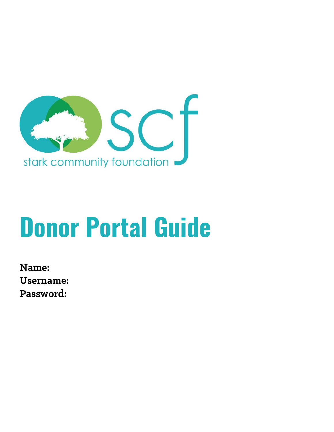

# **Donor Portal Guide**

**Name: Username: Password:**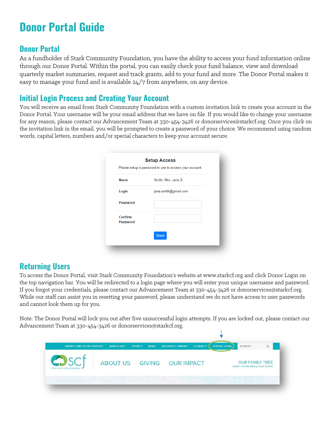## **Donor Portal Guide**

## **Donor Portal**

As a fundholder of Stark Community Foundation, you have the ability to access your fund information online through our Donor Portal. Within the portal, you can easily check your fund balance, view and download quarterly market summaries, request and track grants, add to your fund and more. The Donor Portal makes it easy to manage your fund and is available 24/7 from anywhere, on any device.

## **Initial Login Process and Creating Your Account**

You will receive an email from Stark Community Foundation with a custom invitation link to create your account in the Donor Portal. Your username will be your email address that we have on file. If you would like to change your username for any reason, please contact our Advancement Team at 330-454-3426 or [donorservices@starkcf.org.](mailto:donorservices@starkcf.org) Once you click on the invitation link in the email, you will be prompted to create a password of your choice. We recommend using random words, capital letters, numbers and/or special characters to keep your account secure.

|                     | Please setup a password to use to access your account. |
|---------------------|--------------------------------------------------------|
| <b>Name</b>         | Smith, Mrs. Jane B.                                    |
| Login               | jane.smith@gmail.com                                   |
| <b>Password</b>     |                                                        |
| Confirm<br>Password |                                                        |
|                     | <b>Save</b>                                            |

## **Returning Users**

To access the Donor Portal, visit Stark Community Foundation's website at www.starkcf.org and click Donor Login on the top navigation bar. You will be redirected to a login page where you will enter your unique username and password. If you forgot your credentials, please contact our Advancement Team at 330-454-3426 or [donorservices@starkcf.org.](mailto:donorservices@starkcf.org) While our staff can assist you in resetting your password, please understand we do not have access to user passwords and cannot look them up for you.

Note: The Donor Portal will lock you out after five unsuccessful login attempts. If you are locked out, please contact our Advancement Team at 330-454-3426 or [donorservices@starkcf.org.](mailto:donorservices@starkcf.org)

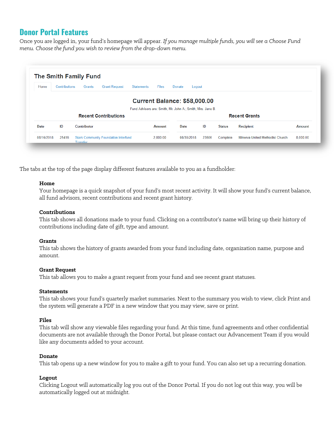## **Donor Portal Features**

Once you are logged in, your fund's homepage will appear. *If you manage multiple funds, you will see a Choose Fund menu. Choose the fund you wish to review from the drop-down menu.*

| Home        | Contributions | Grants      | <b>Grant Request</b>        | <b>Statements</b><br><b>Files</b>                          | Donate<br>Logout |    |               |                      |               |
|-------------|---------------|-------------|-----------------------------|------------------------------------------------------------|------------------|----|---------------|----------------------|---------------|
|             |               |             |                             | <b>Current Balance: \$58,000.00</b>                        |                  |    |               |                      |               |
|             |               |             |                             | Fund Advisors are: Smith, Mr. John A.; Smith, Mrs. Jane B. |                  |    |               |                      |               |
|             |               |             | <b>Recent Contributions</b> |                                                            |                  |    |               | <b>Recent Grants</b> |               |
|             |               |             |                             |                                                            |                  |    |               |                      |               |
| <b>Date</b> | ID            | Contributor |                             | <b>Amount</b>                                              | Date             | ID | <b>Status</b> | <b>Recipient</b>     | <b>Amount</b> |

The tabs at the top of the page display different features available to you as a fundholder:

#### **Home**

Your homepage is a quick snapshot of your fund's most recent activity. It will show your fund's current balance, all fund advisors, recent contributions and recent grant history.

#### **Contributions**

This tab shows all donations made to your fund. Clicking on a contributor's name will bring up their history of contributions including date of gift, type and amount.

#### **Grants**

This tab shows the history of grants awarded from your fund including date, organization name, purpose and amount.

#### **Grant Request**

This tab allows you to make a grant request from your fund and see recent grant statuses.

#### **Statements**

This tab shows your fund's quarterly market summaries. Next to the summary you wish to view, click Print and the system will generate a PDF in a new window that you may view, save or print.

#### **Files**

This tab will show any viewable files regarding your fund. At this time, fund agreements and other confidential documents are not available through the Donor Portal, but please contact our Advancement Team if you would like any documents added to your account.

#### **Donate**

This tab opens up a new window for you to make a gift to your fund. You can also set up a recurring donation.

#### **Logout**

Clicking Logout will automatically log you out of the Donor Portal. If you do not log out this way, you will be automatically logged out at midnight.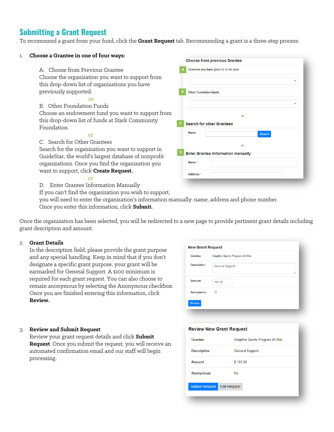## **Submitting a Grant Request**

To recommend a grant from your fund, click the **Grant Request** tab. Recommending a grant is a three-step process:

| Choose a Grantee in one of four ways:                   | <b>Choose from previous Grantee</b>       |
|---------------------------------------------------------|-------------------------------------------|
| A. Choose from Previous Grantee                         | Grantees you have given to in the past    |
| Choose the organization you want to support from        |                                           |
| this drop-down list of organizations you have           | $\boldsymbol{\mathrm{v}}$                 |
| previously supported.                                   | <b>Other foundation funds</b>             |
| or                                                      |                                           |
| B. Other Foundation Funds                               |                                           |
| Choose an endowment fund you want to support from       | or                                        |
| this drop-down list of funds at Stark Community         | <b>Search for other Grantees</b>          |
| Foundation.                                             |                                           |
| or                                                      | <b>Name</b><br><b>Search</b>              |
| C. Search for Other Grantees                            | or                                        |
| Search for the organization you want to support in      |                                           |
| GuideStar, the world's largest database of nonprofit    | <b>Enter Grantee information manually</b> |
| organizations. Once you find the organization you       | Name*                                     |
| want to support, click Create Request.                  | Address <sup>*</sup>                      |
| $\alpha$                                                |                                           |
| Enter Grantee Information Manually<br>D.                |                                           |
| If you can't find the organization you wish to support, |                                           |

you will need to enter the organization's information manually: name, address and phone number. Once you enter this information, click **Submit.**

Once the organization has been selected, you will be redirected to a new page to provide pertinent grant details including grant description and amount.

#### 2. **Grant Details**

In the description field, please provide the grant purpose and any special handling. Keep in mind that if you don't designate a specific grant purpose, your grant will be earmarked for General Support. A \$100 minimum is required for each grant request. You can also choose to remain anonymous by selecting the Anonymous checkbox. Once you are finished entering this information, click **Review.**

| <b>Grantee</b>     | Adaptive Sports Program of Ohio |
|--------------------|---------------------------------|
| <b>Description</b> | <b>General Support</b>          |
| <b>Amount</b>      | 100.00                          |
| <b>Anonymous</b>   | □                               |

#### 3. **Review and Submit Request**

Review your grant request details and click **Submit Request**. Once you submit the request, you will receive an automated confirmation email and our staff will begin processing.

#### **Review New Grant Request**

| Grantee               | Adaptive Sports Program of Ohio |
|-----------------------|---------------------------------|
| <b>Description</b>    | <b>General Support</b>          |
| <b>Amount</b>         | \$100.00                        |
| <b>Anonymous</b>      | No                              |
| <b>Submit Request</b> | <b>Edit Request</b>             |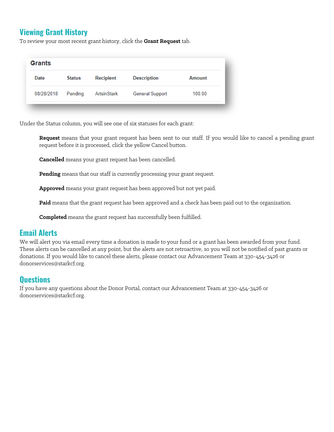## **Viewing Grant History**

To review your most recent grant history, click the **Grant Request** tab.

| Date       | <b>Status</b> | <b>Recipient</b>   | <b>Description</b>     | Amount |
|------------|---------------|--------------------|------------------------|--------|
| 08/28/2018 | Pending       | <b>ArtsinStark</b> | <b>General Support</b> | 100.00 |

Under the Status column, you will see one of six statuses for each grant:

**Request** means that your grant request has been sent to our staff. If you would like to cancel a pending grant request before it is processed, click the yellow Cancel button.

**Cancelled** means your grant request has been cancelled.

**Pending** means that our staff is currently processing your grant request.

**Approved** means your grant request has been approved but not yet paid.

**Paid** means that the grant request has been approved and a check has been paid out to the organization.

**Completed** means the grant request has successfully been fulfilled.

### **Email Alerts**

We will alert you via email every time a donation is made to your fund or a grant has been awarded from your fund. These alerts can be cancelled at any point, but the alerts are not retroactive, so you will not be notified of past grants or donations. If you would like to cancel these alerts, please contact our Advancement Team at 330-454-3426 or [donorservices@starkcf.org.](mailto:donorservices@starkcf.org)

## **Questions**

If you have any questions about the Donor Portal, contact our Advancement Team at 330-454-3426 or [donorservices@starkcf.org.](mailto:donorservices@starkcf.org)